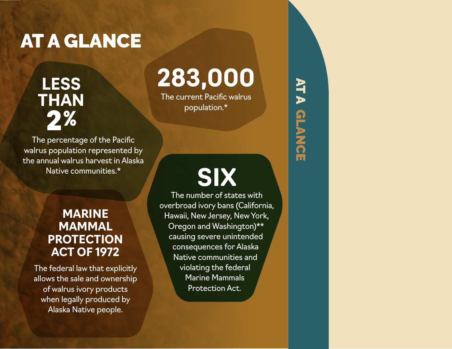### AT A GLANCE

**LESS THAN** 2%

The percentage of the Pacific walrus population represented by the annual walrus harvest in Alaska Native communities.\*

### **MARINE MAMMAL PROTECTION ACT OF 1972**

The federal law that explicitly allows the sale and ownership of walrus ivory products when legally produced by Alaska Native people.

# **283,000**

The current Pacific walrus population.\*

# **SIX**

AT A GLANCE

ATA GLANCE

The number of states with overbroad ivory bans (California, Hawaii, New Jersey, New York, Oregon and Washington)\*\* causing severe unintended consequences for Alaska Native communities and violating the federal Marine Mammals Protection Act.